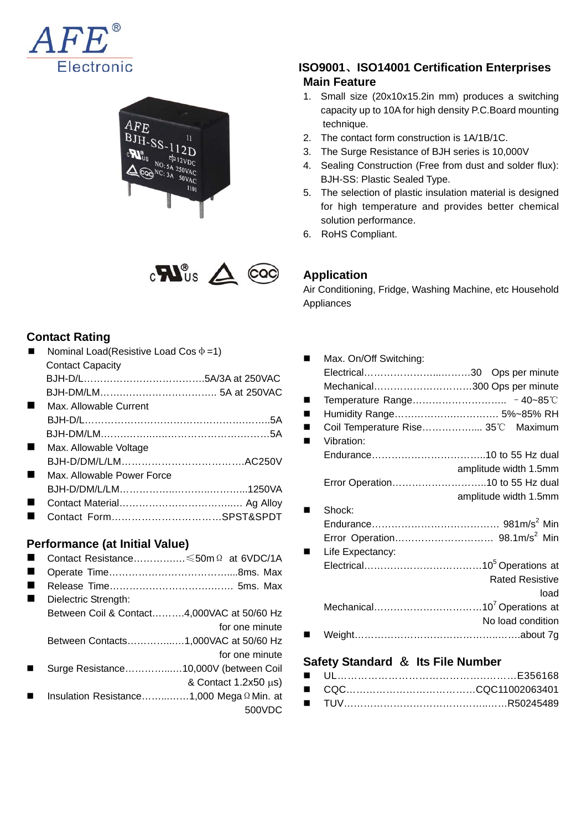





#### **Contact Rating**

| Nominal Load(Resistive Load Cos $\Phi$ =1) |  |
|--------------------------------------------|--|
| <b>Contact Capacity</b>                    |  |
|                                            |  |
|                                            |  |
| Max. Allowable Current                     |  |
|                                            |  |
|                                            |  |
| Max. Allowable Voltage                     |  |
|                                            |  |
| Max, Allowable Power Force                 |  |
|                                            |  |
|                                            |  |
| Contact FormSPST&SPDT                      |  |
|                                            |  |

#### **Performance (at Initial Value)**

- Contact Resistance………….…≤50mΩ at 6VDC/1A Operate Time………………………………....8ms. Max Release Time………………………….……. 5ms. Max Dielectric Strength: Between Coil & Contact……….4,000VAC at 50/60 Hz for one minute Between Contacts…………...…1,000VAC at 50/60 Hz for one minute Surge Resistance…………...…10,000V (between Coil & Contact  $1.2x50 \mu s$ )
- Insulation Resistance……...……1,000 MegaΩMin. at 500VDC

## **ISO9001**、**ISO14001 Certification Enterprises Main Feature**

- 1. Small size (20x10x15.2in mm) produces a switching capacity up to 10A for high density P.C.Board mounting technique.
- 2. The contact form construction is 1A/1B/1C.
- 3. The Surge Resistance of BJH series is 10,000V
- 4. Sealing Construction (Free from dust and solder flux): BJH-SS: Plastic Sealed Type.
- 5. The selection of plastic insulation material is designed for high temperature and provides better chemical solution performance.
- 6. RoHS Compliant.

# **Application**

Air Conditioning, Fridge, Washing Machine, etc Household Appliances

| Max. On/Off Switching:             |                        |
|------------------------------------|------------------------|
|                                    |                        |
| Mechanical300 Ops per minute       |                        |
|                                    |                        |
| Humidity Range 5%~85% RH           |                        |
| Coil Temperature Rise 35°C Maximum |                        |
| Vibration:                         |                        |
|                                    |                        |
|                                    | amplitude width 1.5mm  |
| Error Operation10 to 55 Hz dual    |                        |
|                                    | amplitude width 1.5mm  |
| Shock:                             |                        |
|                                    |                        |
|                                    |                        |
| Life Expectancy:                   |                        |
|                                    |                        |
|                                    | <b>Rated Resistive</b> |
|                                    | load                   |
|                                    |                        |
|                                    | No load condition      |
|                                    |                        |
|                                    |                        |

#### **Safety Standard** & **Its File Number**